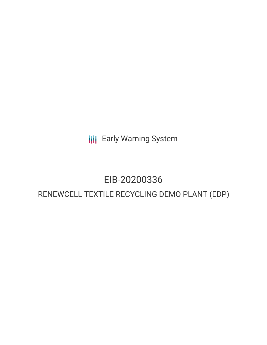**III** Early Warning System

# EIB-20200336

# RENEWCELL TEXTILE RECYCLING DEMO PLANT (EDP)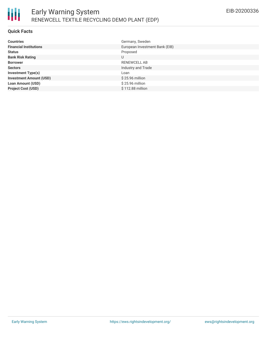# **Quick Facts**

| <b>Countries</b>               | Germany, Sweden                |
|--------------------------------|--------------------------------|
| <b>Financial Institutions</b>  | European Investment Bank (EIB) |
| <b>Status</b>                  | Proposed                       |
| <b>Bank Risk Rating</b>        | U                              |
| <b>Borrower</b>                | RENEWCELL AB                   |
| <b>Sectors</b>                 | Industry and Trade             |
| <b>Investment Type(s)</b>      | Loan                           |
| <b>Investment Amount (USD)</b> | \$25.96 million                |
| <b>Loan Amount (USD)</b>       | \$25.96 million                |
| <b>Project Cost (USD)</b>      | \$112.88 million               |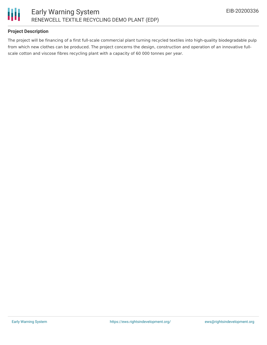

# **Project Description**

The project will be financing of a first full-scale commercial plant turning recycled textiles into high-quality biodegradable pulp from which new clothes can be produced. The project concerns the design, construction and operation of an innovative fullscale cotton and viscose fibres recycling plant with a capacity of 60 000 tonnes per year.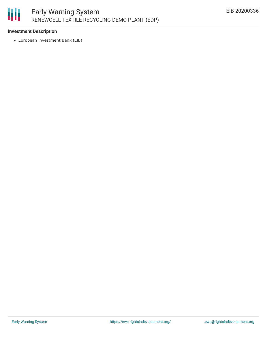# 圃 Early Warning System RENEWCELL TEXTILE RECYCLING DEMO PLANT (EDP)

## **Investment Description**

European Investment Bank (EIB)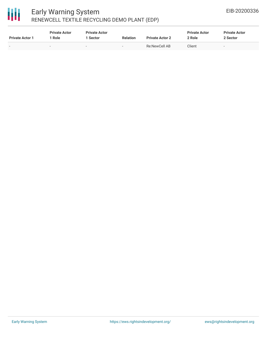# 冊

# Early Warning System RENEWCELL TEXTILE RECYCLING DEMO PLANT (EDP)

| <b>Private Actor 1</b>   | <b>Private Actor</b><br>Role | <b>Private Actor</b><br>1 Sector | <b>Relation</b> | <b>Private Actor 2</b> | <b>Private Actor</b><br>2 Role | <b>Private Actor</b><br>2 Sector |
|--------------------------|------------------------------|----------------------------------|-----------------|------------------------|--------------------------------|----------------------------------|
| $\overline{\phantom{0}}$ |                              |                                  | $\,$            | Re:NewCell AB          | Client                         | $\overline{\phantom{0}}$         |